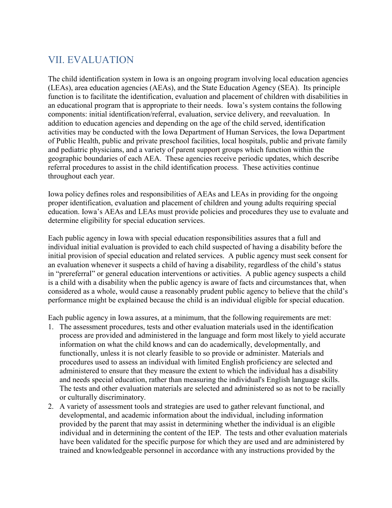## VII. EVALUATION

The child identification system in Iowa is an ongoing program involving local education agencies (LEAs), area education agencies (AEAs), and the State Education Agency (SEA). Its principle function is to facilitate the identification, evaluation and placement of children with disabilities in an educational program that is appropriate to their needs. Iowa's system contains the following components: initial identification/referral, evaluation, service delivery, and reevaluation. In addition to education agencies and depending on the age of the child served, identification activities may be conducted with the Iowa Department of Human Services, the Iowa Department of Public Health, public and private preschool facilities, local hospitals, public and private family and pediatric physicians, and a variety of parent support groups which function within the geographic boundaries of each AEA. These agencies receive periodic updates, which describe referral procedures to assist in the child identification process. These activities continue throughout each year.

Iowa policy defines roles and responsibilities of AEAs and LEAs in providing for the ongoing proper identification, evaluation and placement of children and young adults requiring special education. Iowa's AEAs and LEAs must provide policies and procedures they use to evaluate and determine eligibility for special education services.

Each public agency in Iowa with special education responsibilities assures that a full and individual initial evaluation is provided to each child suspected of having a disability before the initial provision of special education and related services. A public agency must seek consent for an evaluation whenever it suspects a child of having a disability, regardless of the child's status in "prereferral" or general education interventions or activities. A public agency suspects a child is a child with a disability when the public agency is aware of facts and circumstances that, when considered as a whole, would cause a reasonably prudent public agency to believe that the child's performance might be explained because the child is an individual eligible for special education.

Each public agency in Iowa assures, at a minimum, that the following requirements are met:

- 1. The assessment procedures, tests and other evaluation materials used in the identification process are provided and administered in the language and form most likely to yield accurate information on what the child knows and can do academically, developmentally, and functionally, unless it is not clearly feasible to so provide or administer. Materials and procedures used to assess an individual with limited English proficiency are selected and administered to ensure that they measure the extent to which the individual has a disability and needs special education, rather than measuring the individual's English language skills. The tests and other evaluation materials are selected and administered so as not to be racially or culturally discriminatory.
- 2. A variety of assessment tools and strategies are used to gather relevant functional, and developmental, and academic information about the individual, including information provided by the parent that may assist in determining whether the individual is an eligible individual and in determining the content of the IEP. The tests and other evaluation materials have been validated for the specific purpose for which they are used and are administered by trained and knowledgeable personnel in accordance with any instructions provided by the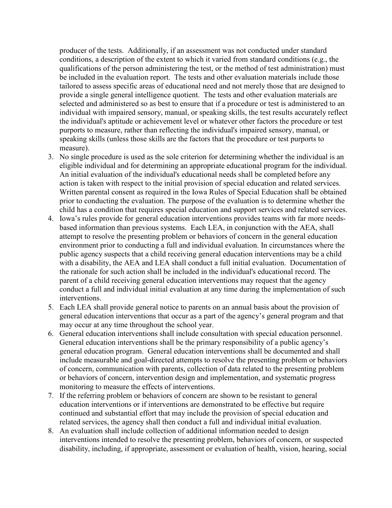producer of the tests. Additionally, if an assessment was not conducted under standard conditions, a description of the extent to which it varied from standard conditions (e.g., the qualifications of the person administering the test, or the method of test administration) must be included in the evaluation report. The tests and other evaluation materials include those tailored to assess specific areas of educational need and not merely those that are designed to provide a single general intelligence quotient. The tests and other evaluation materials are selected and administered so as best to ensure that if a procedure or test is administered to an individual with impaired sensory, manual, or speaking skills, the test results accurately reflect the individual's aptitude or achievement level or whatever other factors the procedure or test purports to measure, rather than reflecting the individual's impaired sensory, manual, or speaking skills (unless those skills are the factors that the procedure or test purports to measure).

- 3. No single procedure is used as the sole criterion for determining whether the individual is an eligible individual and for determining an appropriate educational program for the individual. An initial evaluation of the individual's educational needs shall be completed before any action is taken with respect to the initial provision of special education and related services. Written parental consent as required in the Iowa Rules of Special Education shall be obtained prior to conducting the evaluation. The purpose of the evaluation is to determine whether the child has a condition that requires special education and support services and related services.
- 4. Iowa's rules provide for general education interventions provides teams with far more needsbased information than previous systems. Each LEA, in conjunction with the AEA, shall attempt to resolve the presenting problem or behaviors of concern in the general education environment prior to conducting a full and individual evaluation. In circumstances where the public agency suspects that a child receiving general education interventions may be a child with a disability, the AEA and LEA shall conduct a full initial evaluation. Documentation of the rationale for such action shall be included in the individual's educational record. The parent of a child receiving general education interventions may request that the agency conduct a full and individual initial evaluation at any time during the implementation of such interventions.
- 5. Each LEA shall provide general notice to parents on an annual basis about the provision of general education interventions that occur as a part of the agency's general program and that may occur at any time throughout the school year.
- 6. General education interventions shall include consultation with special education personnel. General education interventions shall be the primary responsibility of a public agency's general education program. General education interventions shall be documented and shall include measurable and goal-directed attempts to resolve the presenting problem or behaviors of concern, communication with parents, collection of data related to the presenting problem or behaviors of concern, intervention design and implementation, and systematic progress monitoring to measure the effects of interventions.
- 7. If the referring problem or behaviors of concern are shown to be resistant to general education interventions or if interventions are demonstrated to be effective but require continued and substantial effort that may include the provision of special education and related services, the agency shall then conduct a full and individual initial evaluation.
- 8. An evaluation shall include collection of additional information needed to design interventions intended to resolve the presenting problem, behaviors of concern, or suspected disability, including, if appropriate, assessment or evaluation of health, vision, hearing, social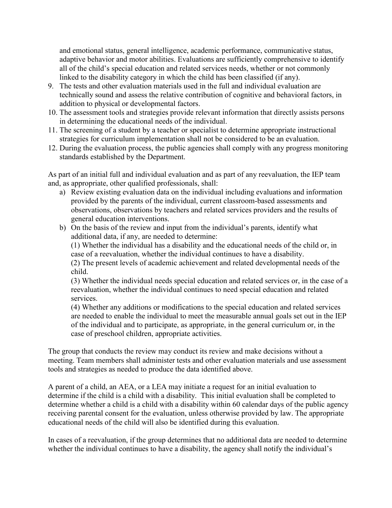and emotional status, general intelligence, academic performance, communicative status, adaptive behavior and motor abilities. Evaluations are sufficiently comprehensive to identify all of the child's special education and related services needs, whether or not commonly linked to the disability category in which the child has been classified (if any).

- 9. The tests and other evaluation materials used in the full and individual evaluation are technically sound and assess the relative contribution of cognitive and behavioral factors, in addition to physical or developmental factors.
- 10. The assessment tools and strategies provide relevant information that directly assists persons in determining the educational needs of the individual.
- 11. The screening of a student by a teacher or specialist to determine appropriate instructional strategies for curriculum implementation shall not be considered to be an evaluation.
- 12. During the evaluation process, the public agencies shall comply with any progress monitoring standards established by the Department.

As part of an initial full and individual evaluation and as part of any reevaluation, the IEP team and, as appropriate, other qualified professionals, shall:

- a) Review existing evaluation data on the individual including evaluations and information provided by the parents of the individual, current classroom-based assessments and observations, observations by teachers and related services providers and the results of general education interventions.
- b) On the basis of the review and input from the individual's parents, identify what additional data, if any, are needed to determine:

(1) Whether the individual has a disability and the educational needs of the child or, in case of a reevaluation, whether the individual continues to have a disability.

(2) The present levels of academic achievement and related developmental needs of the child.

(3) Whether the individual needs special education and related services or, in the case of a reevaluation, whether the individual continues to need special education and related services.

(4) Whether any additions or modifications to the special education and related services are needed to enable the individual to meet the measurable annual goals set out in the IEP of the individual and to participate, as appropriate, in the general curriculum or, in the case of preschool children, appropriate activities.

The group that conducts the review may conduct its review and make decisions without a meeting. Team members shall administer tests and other evaluation materials and use assessment tools and strategies as needed to produce the data identified above.

A parent of a child, an AEA, or a LEA may initiate a request for an initial evaluation to determine if the child is a child with a disability. This initial evaluation shall be completed to determine whether a child is a child with a disability within 60 calendar days of the public agency receiving parental consent for the evaluation, unless otherwise provided by law. The appropriate educational needs of the child will also be identified during this evaluation.

In cases of a reevaluation, if the group determines that no additional data are needed to determine whether the individual continues to have a disability, the agency shall notify the individual's